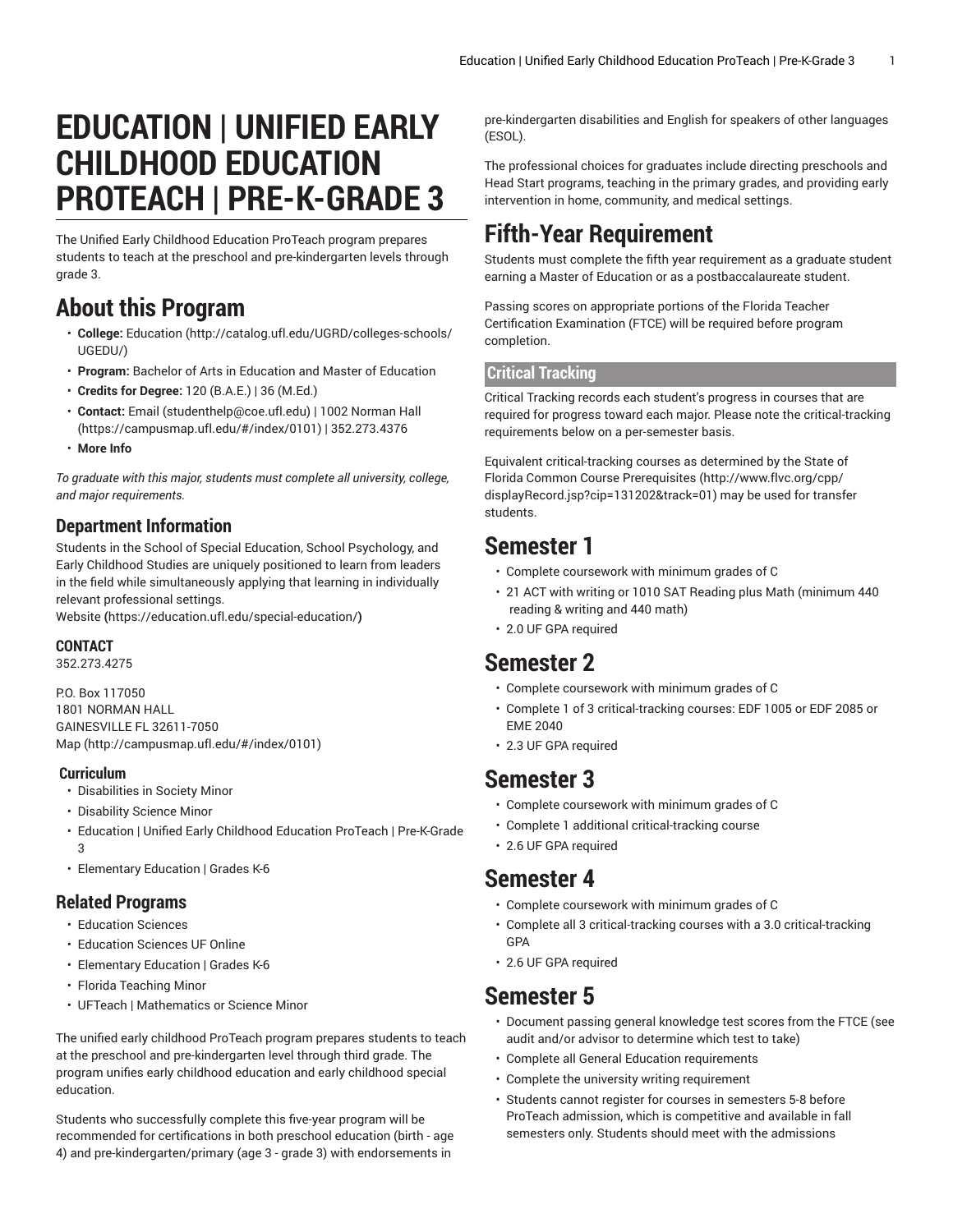# **EDUCATION | UNIFIED EARLY CHILDHOOD EDUCATION PROTEACH | PRE-K-GRADE 3**

The Unified Early Childhood Education ProTeach program prepares students to teach at the preschool and pre-kindergarten levels through grade 3.

# **About this Program**

- **College:** [Education](http://catalog.ufl.edu/UGRD/colleges-schools/UGEDU/) ([http://catalog.ufl.edu/UGRD/colleges-schools/](http://catalog.ufl.edu/UGRD/colleges-schools/UGEDU/) [UGEDU/\)](http://catalog.ufl.edu/UGRD/colleges-schools/UGEDU/)
- **Program:** Bachelor of Arts in Education and Master of Education
- **Credits for Degree:** 120 (B.A.E.) | 36 (M.Ed.)
- **Contact:** [Email](mailto:studenthelp@coe.ufl.edu) [\(studenthelp@coe.ufl.edu](studenthelp@coe.ufl.edu)) | [1002 Norman Hall](https://campusmap.ufl.edu/#/index/0101) (<https://campusmap.ufl.edu/#/index/0101>) | 352.273.4376
- **More Info**

*To graduate with this major, students must complete all university, college, and major requirements.*

#### **Department Information**

Students in the School of Special Education, School Psychology, and Early Childhood Studies are uniquely positioned to learn from leaders in the field while simultaneously applying that learning in individually relevant professional settings.

[Website](https://education.ufl.edu/special-education/) **(**<https://education.ufl.edu/special-education/>**)**

#### **CONTACT**

352.273.4275

P.O. Box 117050 1801 NORMAN HALL GAINESVILLE FL 32611-7050 [Map](http://campusmap.ufl.edu/#/index/0101) ([http://campusmap.ufl.edu/#/index/0101\)](http://campusmap.ufl.edu/#/index/0101)

#### **Curriculum**

- Disabilities in Society Minor
- Disability Science Minor
- Education | Unified Early Childhood Education ProTeach | Pre-K-Grade 3
- Elementary Education | Grades K-6

#### **Related Programs**

- Education Sciences
- Education Sciences UF Online
- Elementary Education | Grades K-6
- Florida Teaching Minor
- UFTeach | Mathematics or Science Minor

The unified early childhood ProTeach program prepares students to teach at the preschool and pre-kindergarten level through third grade. The program unifies early childhood education and early childhood special education.

Students who successfully complete this five-year program will be recommended for certifications in both preschool education (birth - age 4) and pre-kindergarten/primary (age 3 - grade 3) with endorsements in

pre-kindergarten disabilities and English for speakers of other languages (ESOL).

The professional choices for graduates include directing preschools and Head Start programs, teaching in the primary grades, and providing early intervention in home, community, and medical settings.

# **Fifth-Year Requirement**

Students must complete the fifth year requirement as a graduate student earning a Master of Education or as a postbaccalaureate student.

Passing scores on appropriate portions of the Florida Teacher Certification Examination (FTCE) will be required before program completion.

#### **Critical Tracking**

Critical Tracking records each student's progress in courses that are required for progress toward each major. Please note the critical-tracking requirements below on a per-semester basis.

Equivalent critical-tracking courses as determined by the State of Florida Common Course [Prerequisites \(http://www.flvc.org/cpp/](http://www.flvc.org/cpp/displayRecord.jsp?cip=131202&track=01) [displayRecord.jsp?cip=131202&track=01](http://www.flvc.org/cpp/displayRecord.jsp?cip=131202&track=01)) may be used for transfer students.

# **Semester 1**

- Complete coursework with minimum grades of C
- 21 ACT with writing or 1010 SAT Reading plus Math (minimum 440 reading & writing and 440 math)
- 2.0 UF GPA required

#### **Semester 2**

- Complete coursework with minimum grades of C
- Complete 1 of 3 critical-tracking courses: EDF 1005 or EDF 2085 or EME 2040
- 2.3 UF GPA required

### **Semester 3**

- Complete coursework with minimum grades of C
- Complete 1 additional critical-tracking course
- 2.6 UF GPA required

#### **Semester 4**

- Complete coursework with minimum grades of C
- Complete all 3 critical-tracking courses with a 3.0 critical-tracking GPA
- 2.6 UF GPA required

### **Semester 5**

- Document passing general knowledge test scores from the FTCE (see audit and/or advisor to determine which test to take)
- Complete all General Education requirements
- Complete the university writing requirement
- Students cannot register for courses in semesters 5-8 before ProTeach admission, which is competitive and available in fall semesters only. Students should meet with the admissions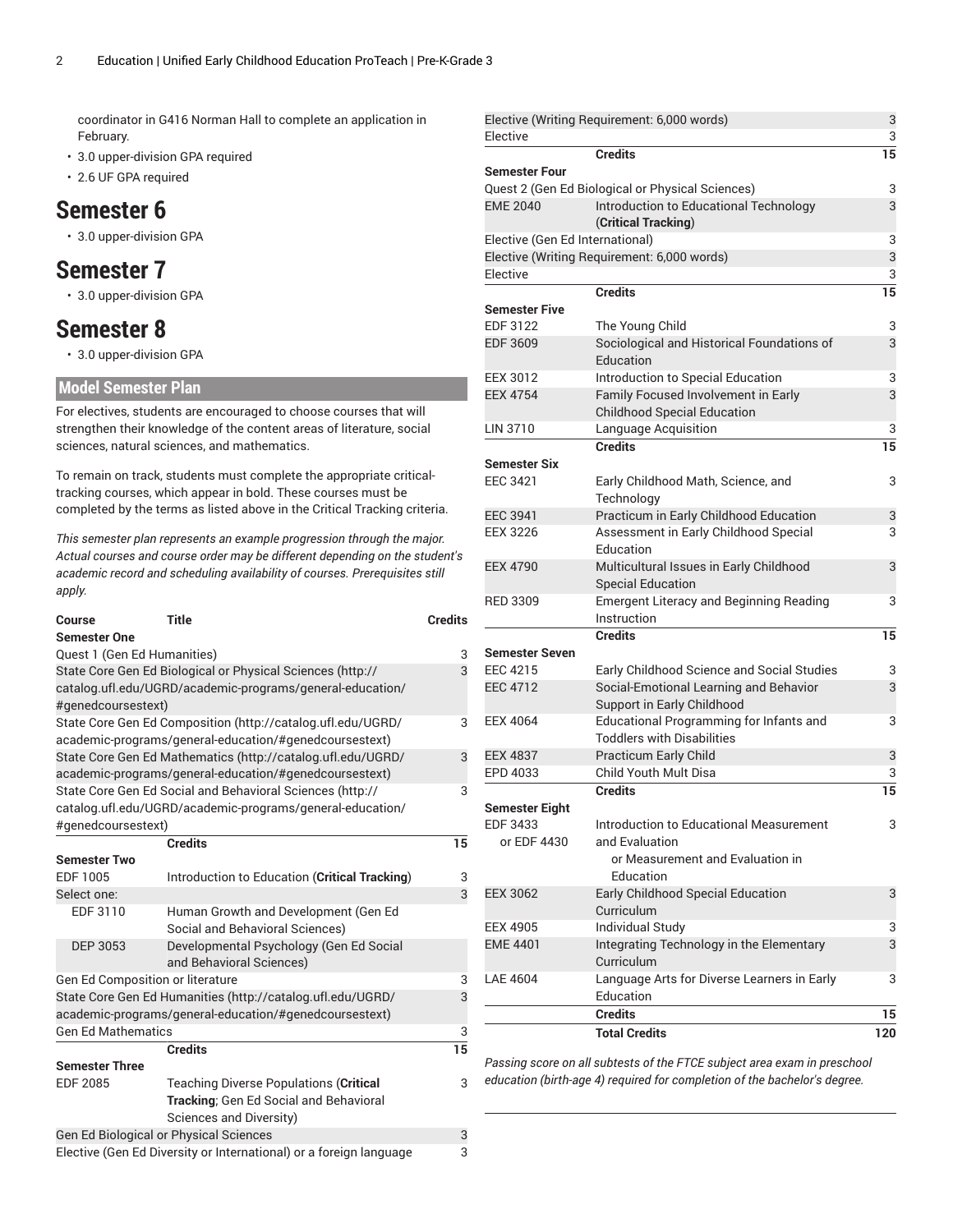coordinator in G416 Norman Hall to complete an application in February.

- 3.0 upper-division GPA required
- 2.6 UF GPA required

### **Semester 6**

• 3.0 upper-division GPA

### **Semester 7**

• 3.0 upper-division GPA

# **Semester 8**

• 3.0 upper-division GPA

#### **Model Semester Plan**

For electives, students are encouraged to choose courses that will strengthen their knowledge of the content areas of literature, social sciences, natural sciences, and mathematics.

To remain on track, students must complete the appropriate criticaltracking courses, which appear in bold. These courses must be completed by the terms as listed above in the Critical Tracking criteria.

*This semester plan represents an example progression through the major. Actual courses and course order may be different depending on the student's academic record and scheduling availability of courses. Prerequisites still apply.*

| <b>Course</b>                                                      | <b>Title</b>                                                                                                            | <b>Credits</b> |  |
|--------------------------------------------------------------------|-------------------------------------------------------------------------------------------------------------------------|----------------|--|
| <b>Semester One</b>                                                |                                                                                                                         |                |  |
| Quest 1 (Gen Ed Humanities)                                        |                                                                                                                         | 3              |  |
|                                                                    | State Core Gen Ed Biological or Physical Sciences (http://<br>catalog.ufl.edu/UGRD/academic-programs/general-education/ | 3              |  |
| #genedcoursestext)                                                 |                                                                                                                         |                |  |
|                                                                    | State Core Gen Ed Composition (http://catalog.ufl.edu/UGRD/                                                             | 3              |  |
|                                                                    | academic-programs/general-education/#genedcoursestext)                                                                  |                |  |
|                                                                    | State Core Gen Ed Mathematics (http://catalog.ufl.edu/UGRD/                                                             | 3              |  |
|                                                                    | academic-programs/general-education/#genedcoursestext)                                                                  |                |  |
|                                                                    | State Core Gen Ed Social and Behavioral Sciences (http://                                                               | 3              |  |
|                                                                    | catalog.ufl.edu/UGRD/academic-programs/general-education/                                                               |                |  |
| #genedcoursestext)                                                 |                                                                                                                         |                |  |
|                                                                    | <b>Credits</b>                                                                                                          | 15             |  |
| <b>Semester Two</b>                                                |                                                                                                                         |                |  |
| EDF 1005                                                           | Introduction to Education (Critical Tracking)                                                                           | 3              |  |
| Select one:                                                        |                                                                                                                         | 3              |  |
| EDF 3110                                                           | Human Growth and Development (Gen Ed                                                                                    |                |  |
|                                                                    | Social and Behavioral Sciences)                                                                                         |                |  |
| <b>DEP 3053</b>                                                    | Developmental Psychology (Gen Ed Social<br>and Behavioral Sciences)                                                     |                |  |
| Gen Ed Composition or literature                                   |                                                                                                                         | 3              |  |
|                                                                    | State Core Gen Ed Humanities (http://catalog.ufl.edu/UGRD/                                                              | 3              |  |
|                                                                    | academic-programs/general-education/#genedcoursestext)                                                                  |                |  |
| <b>Gen Ed Mathematics</b>                                          |                                                                                                                         | 3              |  |
|                                                                    | <b>Credits</b>                                                                                                          | 15             |  |
| <b>Semester Three</b>                                              |                                                                                                                         |                |  |
| <b>EDF 2085</b>                                                    | <b>Teaching Diverse Populations (Critical</b>                                                                           | 3              |  |
|                                                                    | Tracking; Gen Ed Social and Behavioral                                                                                  |                |  |
|                                                                    | Sciences and Diversity)                                                                                                 |                |  |
|                                                                    | Gen Ed Biological or Physical Sciences                                                                                  | 3              |  |
| Elective (Gen Ed Diversity or International) or a foreign language |                                                                                                                         |                |  |

| Elective                        | Elective (Writing Requirement: 6,000 words)      | 3<br>3 |
|---------------------------------|--------------------------------------------------|--------|
|                                 | <b>Credits</b>                                   | 15     |
| <b>Semester Four</b>            |                                                  |        |
|                                 | Quest 2 (Gen Ed Biological or Physical Sciences) | 3      |
| <b>EME 2040</b>                 | Introduction to Educational Technology           | 3      |
|                                 | (Critical Tracking)                              |        |
| Elective (Gen Ed International) |                                                  | 3      |
|                                 | Elective (Writing Requirement: 6,000 words)      | 3      |
| Flective                        |                                                  | 3      |
|                                 | <b>Credits</b>                                   | 15     |
| <b>Semester Five</b>            |                                                  |        |
| EDF 3122                        | The Young Child                                  | 3      |
| <b>EDF 3609</b>                 | Sociological and Historical Foundations of       | 3      |
|                                 | Education                                        |        |
| <b>EEX 3012</b>                 | Introduction to Special Education                | 3      |
| <b>EEX 4754</b>                 | Family Focused Involvement in Early              | 3      |
|                                 | <b>Childhood Special Education</b>               |        |
| LIN 3710                        | Language Acquisition                             | 3      |
|                                 | Credits                                          | 15     |
| <b>Semester Six</b>             |                                                  |        |
| <b>EEC 3421</b>                 | Early Childhood Math, Science, and               | 3      |
|                                 | Technology                                       |        |
| <b>EEC 3941</b>                 | Practicum in Early Childhood Education           | 3      |
| <b>EEX 3226</b>                 | Assessment in Early Childhood Special            | 3      |
|                                 | Education                                        |        |
| <b>EEX 4790</b>                 | Multicultural Issues in Early Childhood          | 3      |
|                                 | <b>Special Education</b>                         |        |
| <b>RED 3309</b>                 | <b>Emergent Literacy and Beginning Reading</b>   | 3      |
|                                 | Instruction<br><b>Credits</b>                    |        |
| Semester Seven                  |                                                  | 15     |
| EEC 4215                        | Early Childhood Science and Social Studies       | 3      |
| <b>EEC 4712</b>                 | Social-Emotional Learning and Behavior           | 3      |
|                                 | Support in Early Childhood                       |        |
| <b>EEX 4064</b>                 | Educational Programming for Infants and          | 3      |
|                                 | <b>Toddlers with Disabilities</b>                |        |
| <b>EEX 4837</b>                 | <b>Practicum Early Child</b>                     | 3      |
| EPD 4033                        | Child Youth Mult Disa                            | 3      |
|                                 | <b>Credits</b>                                   | 15     |
| Semester Eight                  |                                                  |        |
| EDF 3433                        | Introduction to Educational Measurement          | 3      |
| or EDF 4430                     | and Evaluation                                   |        |
|                                 | or Measurement and Evaluation in                 |        |
|                                 | Education                                        |        |
| <b>EEX 3062</b>                 | Early Childhood Special Education                | 3      |
|                                 | Curriculum                                       |        |
| <b>EEX 4905</b>                 | <b>Individual Study</b>                          | 3      |
| <b>EME 4401</b>                 | Integrating Technology in the Elementary         | 3      |
|                                 | Curriculum                                       |        |
| LAE 4604                        | Language Arts for Diverse Learners in Early      | 3      |
|                                 | Education                                        |        |
|                                 | <b>Credits</b>                                   | 15     |
|                                 | <b>Total Credits</b>                             | 120    |

*Passing score on all subtests of the FTCE subject area exam in preschool education (birth-age 4) required for completion of the bachelor's degree.*